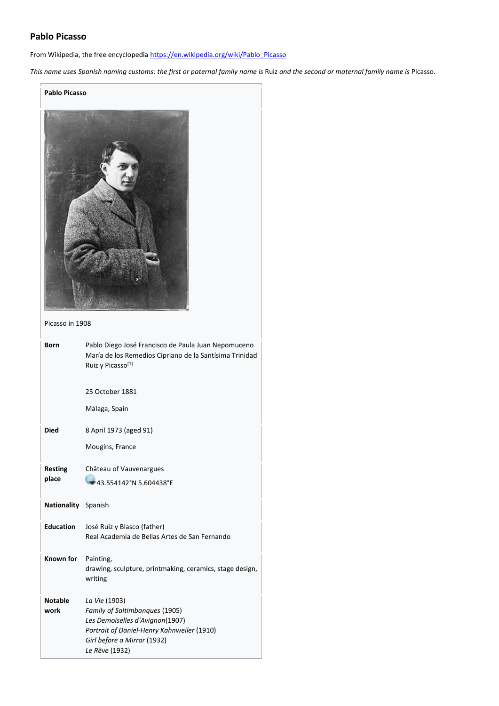# **Pablo Picasso**

'n

From Wikipedia, the free encyclopedia [https://en.wikipedia.org/wiki/Pablo\\_Picasso](https://en.wikipedia.org/wiki/Pablo_Picasso)

*This name uses Spanish naming customs: the first or paternal family name is* Ruiz *and the second or maternal family name is* Picasso*.*

| <b>Pablo Picasso</b> |                                                                                          |  |
|----------------------|------------------------------------------------------------------------------------------|--|
| Picasso in 1908      |                                                                                          |  |
| <b>Born</b>          | Pablo Diego José Francisco de Paula Juan Nepomuceno                                      |  |
|                      | María de los Remedios Cipriano de la Santísima Trinidad<br>Ruiz y Picasso <sup>[1]</sup> |  |
|                      | 25 October 1881                                                                          |  |
|                      | Málaga, Spain                                                                            |  |
| <b>Died</b>          | 8 April 1973 (aged 91)                                                                   |  |
|                      | Mougins, France                                                                          |  |
| <b>Resting</b>       | Château of Vauvenargues                                                                  |  |
| place                | 43.554142°N 5.604438°E                                                                   |  |
| Nationality Spanish  |                                                                                          |  |
| <b>Education</b>     | José Ruiz y Blasco (father)<br>Real Academia de Bellas Artes de San Fernando             |  |
| Known for            | Painting,<br>drawing, sculpture, printmaking, ceramics, stage design,<br>writing         |  |
| <b>Notable</b>       | La Vie (1903)                                                                            |  |
| work                 | Family of Saltimbanques (1905)<br>Les Demoiselles d'Avignon(1907)                        |  |
|                      | Portrait of Daniel-Henry Kahnweiler (1910)                                               |  |
|                      | Girl before a Mirror (1932)<br>Le Rêve (1932)                                            |  |
|                      |                                                                                          |  |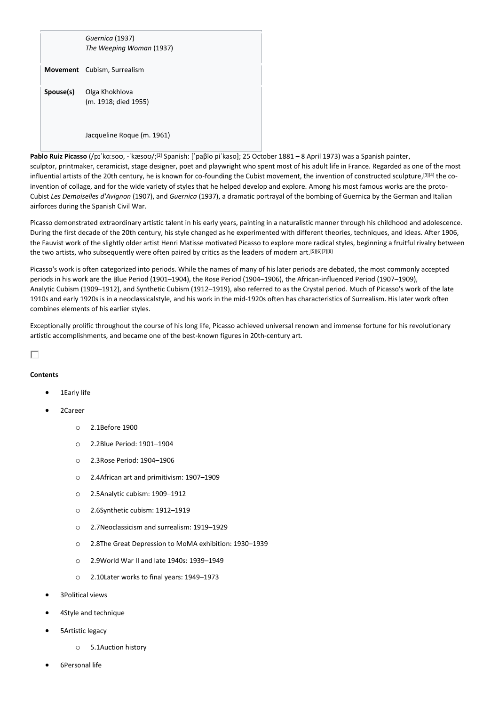| Guernica (1937)<br>The Weeping Woman (1937)             |
|---------------------------------------------------------|
| <b>Movement</b> Cubism, Surrealism                      |
| <b>Spouse(s)</b> Olga Khokhlova<br>(m. 1918; died 1955) |
| Jacqueline Roque (m. 1961)                              |

Pablo Ruiz Picasso (/pɪˈkɑːsoʊ, -ˈkæsoʊ/;<sup>[2]</sup> Spanish: [ˈpaβlo piˈkaso]; 25 October 1881 – 8 April 1973) was a Spanish painter, sculptor, printmaker, ceramicist, stage designer, poet and playwright who spent most of his adult life in France. Regarded as one of the most influential artists of the 20th century, he is known for co-founding the Cubist movement, the invention of constructed sculpture,<sup>[3][4]</sup> the coinvention of collage, and for the wide variety of styles that he helped develop and explore. Among his most famous works are the proto-Cubist *Les Demoiselles d'Avignon* (1907), and *Guernica* (1937), a dramatic portrayal of the bombing of Guernica by the German and Italian airforces during the Spanish Civil War.

Picasso demonstrated extraordinary artistic talent in his early years, painting in a naturalistic manner through his childhood and adolescence. During the first decade of the 20th century, his style changed as he experimented with different theories, techniques, and ideas. After 1906, the Fauvist work of the slightly older artist Henri Matisse motivated Picasso to explore more radical styles, beginning a fruitful rivalry between the two artists, who subsequently were often paired by critics as the leaders of modern art.[5][6][7][8]

Picasso's work is often categorized into periods. While the names of many of his later periods are debated, the most commonly accepted periods in his work are the Blue Period (1901–1904), the Rose Period (1904–1906), the African-influenced Period (1907–1909), Analytic Cubism (1909–1912), and Synthetic Cubism (1912–1919), also referred to as the Crystal period. Much of Picasso's work of the late 1910s and early 1920s is in a neoclassicalstyle, and his work in the mid-1920s often has characteristics of Surrealism. His later work often combines elements of his earlier styles.

Exceptionally prolific throughout the course of his long life, Picasso achieved universal renown and immense fortune for his revolutionary artistic accomplishments, and became one of the best-known figures in 20th-century art.

п

# **Contents**

- 1Early life
- 2Career
	- o 2.1Before 1900
	- o 2.2Blue Period: 1901–1904
	- o 2.3Rose Period: 1904–1906
	- o 2.4African art and primitivism: 1907–1909
	- o 2.5Analytic cubism: 1909–1912
	- o 2.6Synthetic cubism: 1912–1919
	- o 2.7Neoclassicism and surrealism: 1919–1929
	- o 2.8The Great Depression to MoMA exhibition: 1930–1939
	- o 2.9World War II and late 1940s: 1939–1949
	- o 2.10Later works to final years: 1949–1973
- 3Political views
- 4Style and technique
- 5Artistic legacy
	- o 5.1Auction history
- 6Personal life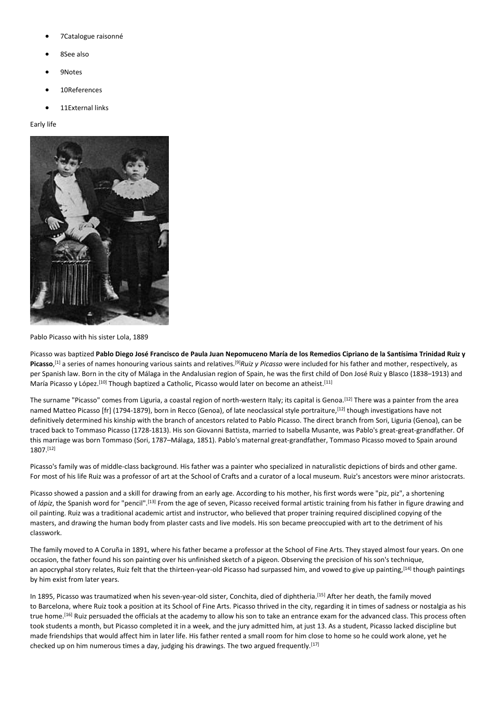- 7Catalogue raisonné
- 8See also
- 9Notes
- 10References
- 11External links

#### Early life



Pablo Picasso with his sister Lola, 1889

Picasso was baptized **Pablo Diego José Francisco de Paula Juan Nepomuceno María de los Remedios Cipriano de la Santísima Trinidad Ruiz y Picasso**, [1] a series of names honouring various saints and relatives.[9]*Ruiz y Picasso* were included for his father and mother, respectively, as per Spanish law. Born in the city of Málaga in the Andalusian region of Spain, he was the first child of Don José Ruiz y Blasco (1838–1913) and María Picasso y López.<sup>[10]</sup> Though baptized a Catholic, Picasso would later on become an atheist.<sup>[11]</sup>

The surname "Picasso" comes from Liguria, a coastal region of north-western Italy; its capital is Genoa.<sup>[12]</sup> There was a painter from the area named Matteo Picasso [fr] (1794-1879), born in Recco (Genoa), of late neoclassical style portraiture, [12] though investigations have not definitively determined his kinship with the branch of ancestors related to Pablo Picasso. The direct branch from Sori, Liguria (Genoa), can be traced back to Tommaso Picasso (1728-1813). His son Giovanni Battista, married to Isabella Musante, was Pablo's great-great-grandfather. Of this marriage was born Tommaso (Sori, 1787–Málaga, 1851). Pablo's maternal great-grandfather, Tommaso Picasso moved to Spain around 1807.[12]

Picasso's family was of middle-class background. His father was a painter who specialized in naturalistic depictions of birds and other game. For most of his life Ruiz was a professor of art at the School of Crafts and a curator of a local museum. Ruiz's ancestors were minor aristocrats.

Picasso showed a passion and a skill for drawing from an early age. According to his mother, his first words were "piz, piz", a shortening of *lápiz*, the Spanish word for "pencil".[13] From the age of seven, Picasso received formal artistic training from his father in figure drawing and oil painting. Ruiz was a traditional academic artist and instructor, who believed that proper training required disciplined copying of the masters, and drawing the human body from plaster casts and live models. His son became preoccupied with art to the detriment of his classwork.

The family moved to A Coruña in 1891, where his father became a professor at the School of Fine Arts. They stayed almost four years. On one occasion, the father found his son painting over his unfinished sketch of a pigeon. Observing the precision of his son's technique, an apocryphal story relates, Ruiz felt that the thirteen-year-old Picasso had surpassed him, and vowed to give up painting, [14] though paintings by him exist from later years.

In 1895, Picasso was traumatized when his seven-year-old sister, Conchita, died of diphtheria. [15] After her death, the family moved to Barcelona, where Ruiz took a position at its School of Fine Arts. Picasso thrived in the city, regarding it in times of sadness or nostalgia as his true home.<sup>[16]</sup> Ruiz persuaded the officials at the academy to allow his son to take an entrance exam for the advanced class. This process often took students a month, but Picasso completed it in a week, and the jury admitted him, at just 13. As a student, Picasso lacked discipline but made friendships that would affect him in later life. His father rented a small room for him close to home so he could work alone, yet he checked up on him numerous times a day, judging his drawings. The two argued frequently.<sup>[17]</sup>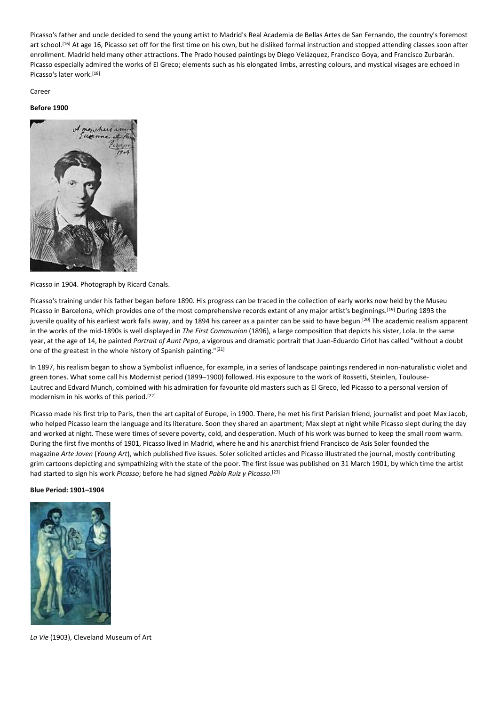Picasso's father and uncle decided to send the young artist to Madrid's Real Academia de Bellas Artes de San Fernando, the country's foremost art school.[16] At age 16, Picasso set off for the first time on his own, but he disliked formal instruction and stopped attending classes soon after enrollment. Madrid held many other attractions. The Prado housed paintings by Diego Velázquez, Francisco Goya, and Francisco Zurbarán. Picasso especially admired the works of El Greco; elements such as his elongated limbs, arresting colours, and mystical visages are echoed in Picasso's later work.[18]

Career

#### **Before 1900**



Picasso in 1904. Photograph by Ricard Canals.

Picasso's training under his father began before 1890. His progress can be traced in the collection of early works now held by the Museu Picasso in Barcelona, which provides one of the most comprehensive records extant of any major artist's beginnings.<sup>[19]</sup> During 1893 the juvenile quality of his earliest work falls away, and by 1894 his career as a painter can be said to have begun.<sup>[20]</sup> The academic realism apparent in the works of the mid-1890s is well displayed in *The First Communion* (1896), a large composition that depicts his sister, Lola. In the same year, at the age of 14, he painted *Portrait of Aunt Pepa*, a vigorous and dramatic portrait that Juan-Eduardo Cirlot has called "without a doubt one of the greatest in the whole history of Spanish painting."[21]

In 1897, his realism began to show a Symbolist influence, for example, in a series of landscape paintings rendered in non-naturalistic violet and green tones. What some call his Modernist period (1899–1900) followed. His exposure to the work of Rossetti, Steinlen, Toulouse-Lautrec and Edvard Munch, combined with his admiration for favourite old masters such as El Greco, led Picasso to a personal version of modernism in his works of this period.[22]

Picasso made his first trip to Paris, then the art capital of Europe, in 1900. There, he met his first Parisian friend, journalist and poet Max Jacob, who helped Picasso learn the language and its literature. Soon they shared an apartment; Max slept at night while Picasso slept during the day and worked at night. These were times of severe poverty, cold, and desperation. Much of his work was burned to keep the small room warm. During the first five months of 1901, Picasso lived in Madrid, where he and his anarchist friend Francisco de Asís Soler founded the magazine *Arte Joven* (*Young Art*), which published five issues. Soler solicited articles and Picasso illustrated the journal, mostly contributing grim cartoons depicting and sympathizing with the state of the poor. The first issue was published on 31 March 1901, by which time the artist had started to sign his work *Picasso*; before he had signed *Pablo Ruiz y Picasso*. [23]

#### **Blue Period: 1901–1904**



*La Vie* (1903), Cleveland Museum of Art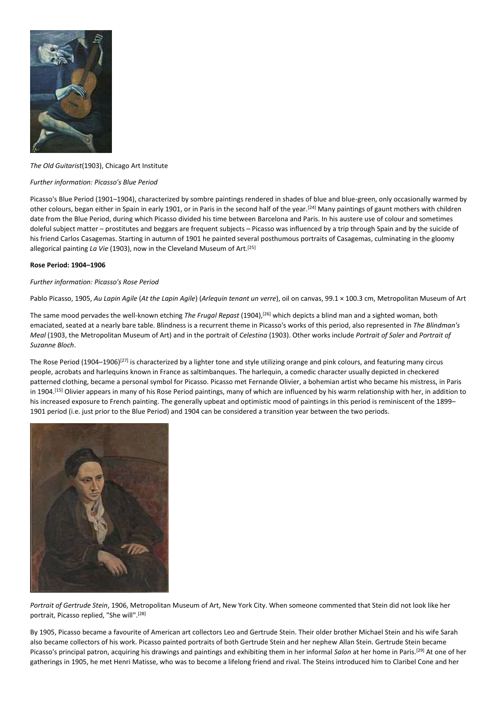

# *The Old Guitarist*(1903), Chicago Art Institute

# *Further information: Picasso's Blue Period*

Picasso's Blue Period (1901–1904), characterized by sombre paintings rendered in shades of blue and blue-green, only occasionally warmed by other colours, began either in Spain in early 1901, or in Paris in the second half of the year.[24] Many paintings of gaunt mothers with children date from the Blue Period, during which Picasso divided his time between Barcelona and Paris. In his austere use of colour and sometimes doleful subject matter – prostitutes and beggars are frequent subjects – Picasso was influenced by a trip through Spain and by the suicide of his friend Carlos Casagemas. Starting in autumn of 1901 he painted several posthumous portraits of Casagemas, culminating in the gloomy allegorical painting La Vie (1903), now in the Cleveland Museum of Art.<sup>[25]</sup>

#### **Rose Period: 1904–1906**

#### *Further information: Picasso's Rose Period*

Pablo Picasso, 1905, *Au Lapin Agile* (*At the Lapin Agile*) (*Arlequin tenant un verre*), oil on canvas, 99.1 × 100.3 cm, Metropolitan Museum of Art

The same mood pervades the well-known etching *The Frugal Repast* (1904),[26] which depicts a blind man and a sighted woman, both emaciated, seated at a nearly bare table. Blindness is a recurrent theme in Picasso's works of this period, also represented in *The Blindman's Meal* (1903, the Metropolitan Museum of Art) and in the portrait of *Celestina* (1903). Other works include *Portrait of Soler* and *Portrait of Suzanne Bloch*.

The Rose Period (1904–1906)<sup>[27]</sup> is characterized by a lighter tone and style utilizing orange and pink colours, and featuring many circus people, acrobats and harlequins known in France as saltimbanques. The harlequin, a comedic character usually depicted in checkered patterned clothing, became a personal symbol for Picasso. Picasso met Fernande Olivier, a bohemian artist who became his mistress, in Paris in 1904.<sup>[15]</sup> Olivier appears in many of his Rose Period paintings, many of which are influenced by his warm relationship with her, in addition to his increased exposure to French painting. The generally upbeat and optimistic mood of paintings in this period is reminiscent of the 1899– 1901 period (i.e. just prior to the Blue Period) and 1904 can be considered a transition year between the two periods.



*Portrait of Gertrude Stein*, 1906, Metropolitan Museum of Art, New York City. When someone commented that Stein did not look like her portrait, Picasso replied, "She will".[28]

By 1905, Picasso became a favourite of American art collectors Leo and Gertrude Stein. Their older brother Michael Stein and his wife Sarah also became collectors of his work. Picasso painted portraits of both Gertrude Stein and her nephew Allan Stein. Gertrude Stein became Picasso's principal patron, acquiring his drawings and paintings and exhibiting them in her informal *Salon* at her home in Paris.[29] At one of her gatherings in 1905, he met Henri Matisse, who was to become a lifelong friend and rival. The Steins introduced him to Claribel Cone and her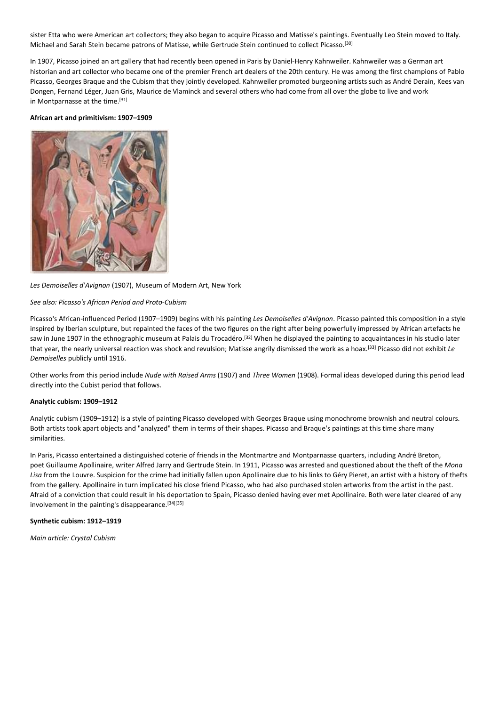sister Etta who were American art collectors; they also began to acquire Picasso and Matisse's paintings. Eventually Leo Stein moved to Italy. Michael and Sarah Stein became patrons of Matisse, while Gertrude Stein continued to collect Picasso.[30]

In 1907, Picasso joined an art gallery that had recently been opened in Paris by Daniel-Henry Kahnweiler. Kahnweiler was a German art historian and art collector who became one of the premier French art dealers of the 20th century. He was among the first champions of Pablo Picasso, Georges Braque and the Cubism that they jointly developed. Kahnweiler promoted burgeoning artists such as André Derain, Kees van Dongen, Fernand Léger, Juan Gris, Maurice de Vlaminck and several others who had come from all over the globe to live and work in Montparnasse at the time.[31]

#### **African art and primitivism: 1907–1909**



# *Les Demoiselles d'Avignon* (1907), Museum of Modern Art, New York

#### *See also: Picasso's African Period and Proto-Cubism*

Picasso's African-influenced Period (1907–1909) begins with his painting *Les Demoiselles d'Avignon*. Picasso painted this composition in a style inspired by Iberian sculpture, but repainted the faces of the two figures on the right after being powerfully impressed by African artefacts he saw in June 1907 in the ethnographic museum at Palais du Trocadéro.<sup>[32]</sup> When he displayed the painting to acquaintances in his studio later that year, the nearly universal reaction was shock and revulsion; Matisse angrily dismissed the work as a hoax.[33] Picasso did not exhibit *Le Demoiselles* publicly until 1916.

Other works from this period include *Nude with Raised Arms* (1907) and *Three Women* (1908). Formal ideas developed during this period lead directly into the Cubist period that follows.

#### **Analytic cubism: 1909–1912**

Analytic cubism (1909–1912) is a style of painting Picasso developed with Georges Braque using monochrome brownish and neutral colours. Both artists took apart objects and "analyzed" them in terms of their shapes. Picasso and Braque's paintings at this time share many similarities.

In Paris, Picasso entertained a distinguished coterie of friends in the Montmartre and Montparnasse quarters, including André Breton, poet Guillaume Apollinaire, writer Alfred Jarry and Gertrude Stein. In 1911, Picasso was arrested and questioned about the theft of the *Mona Lisa* from the Louvre. Suspicion for the crime had initially fallen upon Apollinaire due to his links to Géry Pieret, an artist with a history of thefts from the gallery. Apollinaire in turn implicated his close friend Picasso, who had also purchased stolen artworks from the artist in the past. Afraid of a conviction that could result in his deportation to Spain, Picasso denied having ever met Apollinaire. Both were later cleared of any involvement in the painting's disappearance.[34][35]

#### **Synthetic cubism: 1912–1919**

*Main article: Crystal Cubism*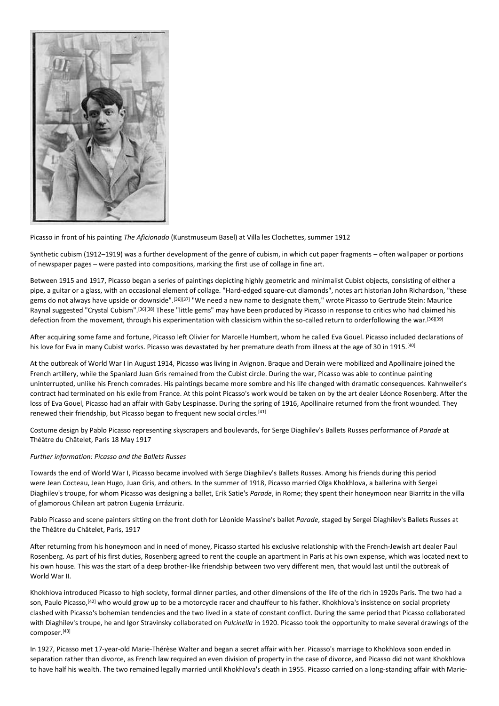

Picasso in front of his painting *The Aficionado* (Kunstmuseum Basel) at Villa les Clochettes, summer 1912

Synthetic cubism (1912–1919) was a further development of the genre of cubism, in which cut paper fragments – often wallpaper or portions of newspaper pages – were pasted into compositions, marking the first use of collage in fine art.

Between 1915 and 1917, Picasso began a series of paintings depicting highly geometric and minimalist Cubist objects, consisting of either a pipe, a guitar or a glass, with an occasional element of collage. "Hard-edged square-cut diamonds", notes art historian John Richardson, "these gems do not always have upside or downside".[36][37] "We need a new name to designate them," wrote Picasso to Gertrude Stein: Maurice Raynal suggested "Crystal Cubism".[36][38] These "little gems" may have been produced by Picasso in response to critics who had claimed his defection from the movement, through his experimentation with classicism within the so-called return to orderfollowing the war.[36][39]

After acquiring some fame and fortune, Picasso left Olivier for Marcelle Humbert, whom he called Eva Gouel. Picasso included declarations of his love for Eva in many Cubist works. Picasso was devastated by her premature death from illness at the age of 30 in 1915.<sup>[40]</sup>

At the outbreak of World War I in August 1914, Picasso was living in Avignon. Braque and Derain were mobilized and Apollinaire joined the French artillery, while the Spaniard Juan Gris remained from the Cubist circle. During the war, Picasso was able to continue painting uninterrupted, unlike his French comrades. His paintings became more sombre and his life changed with dramatic consequences. Kahnweiler's contract had terminated on his exile from France. At this point Picasso's work would be taken on by the art dealer Léonce Rosenberg. After the loss of Eva Gouel, Picasso had an affair with Gaby Lespinasse. During the spring of 1916, Apollinaire returned from the front wounded. They renewed their friendship, but Picasso began to frequent new social circles.<sup>[41]</sup>

Costume design by Pablo Picasso representing skyscrapers and boulevards, for Serge Diaghilev's Ballets Russes performance of *Parade* at Théâtre du Châtelet, Paris 18 May 1917

# *Further information: Picasso and the Ballets Russes*

Towards the end of World War I, Picasso became involved with Serge Diaghilev's Ballets Russes. Among his friends during this period were Jean Cocteau, Jean Hugo, Juan Gris, and others. In the summer of 1918, Picasso married Olga Khokhlova, a ballerina with Sergei Diaghilev's troupe, for whom Picasso was designing a ballet, Erik Satie's *Parade*, in Rome; they spent their honeymoon near Biarritz in the villa of glamorous Chilean art patron Eugenia Errázuriz.

Pablo Picasso and scene painters sitting on the front cloth for Léonide Massine's ballet *Parade*, staged by Sergei Diaghilev's Ballets Russes at the Théâtre du Châtelet, Paris, 1917

After returning from his honeymoon and in need of money, Picasso started his exclusive relationship with the French-Jewish art dealer Paul Rosenberg. As part of his first duties, Rosenberg agreed to rent the couple an apartment in Paris at his own expense, which was located next to his own house. This was the start of a deep brother-like friendship between two very different men, that would last until the outbreak of World War II.

Khokhlova introduced Picasso to high society, formal dinner parties, and other dimensions of the life of the rich in 1920s Paris. The two had a son, Paulo Picasso,<sup>[42]</sup> who would grow up to be a motorcycle racer and chauffeur to his father. Khokhlova's insistence on social propriety clashed with Picasso's bohemian tendencies and the two lived in a state of constant conflict. During the same period that Picasso collaborated with Diaghilev's troupe, he and Igor Stravinsky collaborated on *Pulcinella* in 1920. Picasso took the opportunity to make several drawings of the composer.[43]

In 1927, Picasso met 17-year-old Marie-Thérèse Walter and began a secret affair with her. Picasso's marriage to Khokhlova soon ended in separation rather than divorce, as French law required an even division of property in the case of divorce, and Picasso did not want Khokhlova to have half his wealth. The two remained legally married until Khokhlova's death in 1955. Picasso carried on a long-standing affair with Marie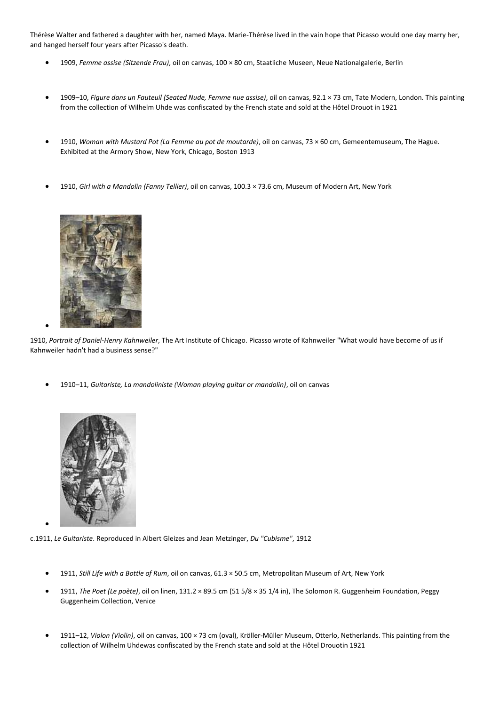Thérèse Walter and fathered a daughter with her, named Maya. Marie-Thérèse lived in the vain hope that Picasso would one day marry her, and hanged herself four years after Picasso's death.

- 1909, *Femme assise (Sitzende Frau)*, oil on canvas, 100 × 80 cm, Staatliche Museen, Neue Nationalgalerie, Berlin
- 1909–10, *Figure dans un Fauteuil (Seated Nude, Femme nue assise)*, oil on canvas, 92.1 × 73 cm, Tate Modern, London. This painting from the collection of Wilhelm Uhde was confiscated by the French state and sold at the Hôtel Drouot in 1921
- 1910, *Woman with Mustard Pot (La Femme au pot de moutarde)*, oil on canvas, 73 × 60 cm, Gemeentemuseum, The Hague. Exhibited at the Armory Show, New York, Chicago, Boston 1913
- 1910, *Girl with a Mandolin (Fanny Tellier)*, oil on canvas, 100.3 × 73.6 cm, Museum of Modern Art, New York



•

•

1910, *Portrait of Daniel-Henry Kahnweiler*, The Art Institute of Chicago. Picasso wrote of Kahnweiler "What would have become of us if Kahnweiler hadn't had a business sense?"

• 1910–11, *Guitariste, La mandoliniste (Woman playing guitar or mandolin)*, oil on canvas



c.1911, *Le Guitariste*. Reproduced in Albert Gleizes and Jean Metzinger, *Du "Cubisme"*, 1912

- 1911, *Still Life with a Bottle of Rum*, oil on canvas, 61.3 × 50.5 cm, Metropolitan Museum of Art, New York
- 1911, *The Poet (Le poète)*, oil on linen, 131.2 × 89.5 cm (51 5/8 × 35 1/4 in), The Solomon R. Guggenheim Foundation, Peggy Guggenheim Collection, Venice
- 1911–12, *Violon (Violin)*, oil on canvas, 100 × 73 cm (oval), Kröller-Müller Museum, Otterlo, Netherlands. This painting from the collection of Wilhelm Uhdewas confiscated by the French state and sold at the Hôtel Drouotin 1921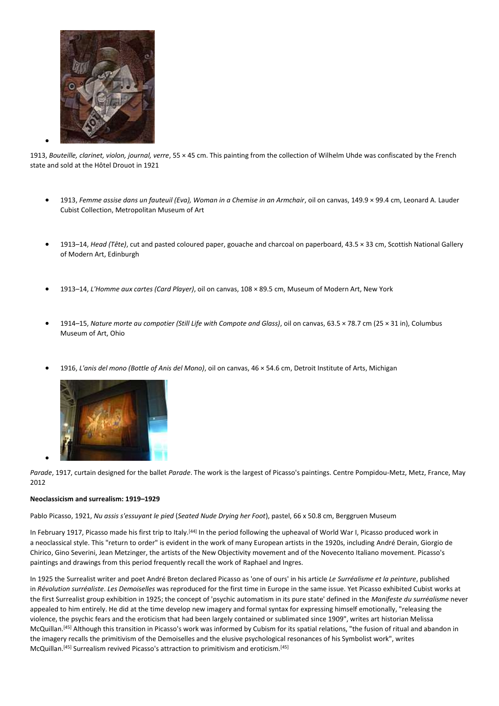

•

1913, *Bouteille, clarinet, violon, journal, verre*, 55 × 45 cm. This painting from the collection of Wilhelm Uhde was confiscated by the French state and sold at the Hôtel Drouot in 1921

- 1913, *Femme assise dans un fauteuil (Eva), Woman in a Chemise in an Armchair*, oil on canvas, 149.9 × 99.4 cm, Leonard A. Lauder Cubist Collection, Metropolitan Museum of Art
- 1913–14, *Head (Tête)*, cut and pasted coloured paper, gouache and charcoal on paperboard, 43.5 × 33 cm, Scottish National Gallery of Modern Art, Edinburgh
- 1913–14, *L'Homme aux cartes (Card Player)*, oil on canvas, 108 × 89.5 cm, Museum of Modern Art, New York
- 1914–15, *Nature morte au compotier (Still Life with Compote and Glass)*, oil on canvas, 63.5 × 78.7 cm (25 × 31 in), Columbus Museum of Art, Ohio
- 1916, *L'anis del mono (Bottle of Anis del Mono)*, oil on canvas, 46 × 54.6 cm, Detroit Institute of Arts, Michigan



*Parade*, 1917, curtain designed for the ballet *Parade*. The work is the largest of Picasso's paintings. Centre Pompidou-Metz, Metz, France, May 2012

# **Neoclassicism and surrealism: 1919–1929**

•

Pablo Picasso, 1921, *Nu assis s'essuyant le pied* (*Seated Nude Drying her Foot*), pastel, 66 x 50.8 cm, Berggruen Museum

In February 1917, Picasso made his first trip to Italy.<sup>[44]</sup> In the period following the upheaval of World War I, Picasso produced work in a neoclassical style. This "return to order" is evident in the work of many European artists in the 1920s, including André Derain, Giorgio de Chirico, Gino Severini, Jean Metzinger, the artists of the New Objectivity movement and of the Novecento Italiano movement. Picasso's paintings and drawings from this period frequently recall the work of Raphael and Ingres.

In 1925 the Surrealist writer and poet André Breton declared Picasso as 'one of ours' in his article *Le Surréalisme et la peinture*, published in *Révolution surréaliste*. *Les Demoiselles* was reproduced for the first time in Europe in the same issue. Yet Picasso exhibited Cubist works at the first Surrealist group exhibition in 1925; the concept of 'psychic automatism in its pure state' defined in the *Manifeste du surréalisme* never appealed to him entirely. He did at the time develop new imagery and formal syntax for expressing himself emotionally, "releasing the violence, the psychic fears and the eroticism that had been largely contained or sublimated since 1909", writes art historian Melissa McQuillan.[45] Although this transition in Picasso's work was informed by Cubism for its spatial relations, "the fusion of ritual and abandon in the imagery recalls the primitivism of the Demoiselles and the elusive psychological resonances of his Symbolist work", writes McQuillan.[45] Surrealism revived Picasso's attraction to primitivism and eroticism.[45]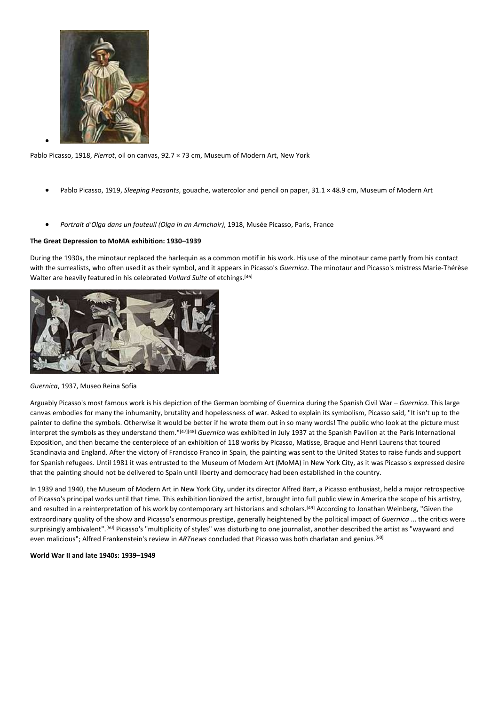

•

Pablo Picasso, 1918, *Pierrot*, oil on canvas, 92.7 × 73 cm, Museum of Modern Art, New York

- Pablo Picasso, 1919, *Sleeping Peasants*, gouache, watercolor and pencil on paper, 31.1 × 48.9 cm, Museum of Modern Art
- *Portrait d'Olga dans un fauteuil (Olga in an Armchair)*, 1918, Musée Picasso, Paris, France

# **The Great Depression to MoMA exhibition: 1930–1939**

During the 1930s, the minotaur replaced the harlequin as a common motif in his work. His use of the minotaur came partly from his contact with the surrealists, who often used it as their symbol, and it appears in Picasso's *Guernica*. The minotaur and Picasso's mistress Marie-Thérèse Walter are heavily featured in his celebrated *Vollard Suite* of etchings.[46]



# *Guernica*, 1937, Museo Reina Sofia

Arguably Picasso's most famous work is his depiction of the German bombing of Guernica during the Spanish Civil War – *Guernica*. This large canvas embodies for many the inhumanity, brutality and hopelessness of war. Asked to explain its symbolism, Picasso said, "It isn't up to the painter to define the symbols. Otherwise it would be better if he wrote them out in so many words! The public who look at the picture must interpret the symbols as they understand them."[47][48] *Guernica* was exhibited in July 1937 at the Spanish Pavilion at the Paris International Exposition, and then became the centerpiece of an exhibition of 118 works by Picasso, Matisse, Braque and Henri Laurens that toured Scandinavia and England. After the victory of Francisco Franco in Spain, the painting was sent to the United States to raise funds and support for Spanish refugees. Until 1981 it was entrusted to the Museum of Modern Art (MoMA) in New York City, as it was Picasso's expressed desire that the painting should not be delivered to Spain until liberty and democracy had been established in the country.

In 1939 and 1940, the Museum of Modern Art in New York City, under its director Alfred Barr, a Picasso enthusiast, held a major retrospective of Picasso's principal works until that time. This exhibition lionized the artist, brought into full public view in America the scope of his artistry, and resulted in a reinterpretation of his work by contemporary art historians and scholars.<sup>[49]</sup> According to Jonathan Weinberg, "Given the extraordinary quality of the show and Picasso's enormous prestige, generally heightened by the political impact of *Guernica* ... the critics were surprisingly ambivalent".<sup>[50]</sup> Picasso's "multiplicity of styles" was disturbing to one journalist, another described the artist as "wayward and even malicious"; Alfred Frankenstein's review in *ARTnews* concluded that Picasso was both charlatan and genius.[50]

# **World War II and late 1940s: 1939–1949**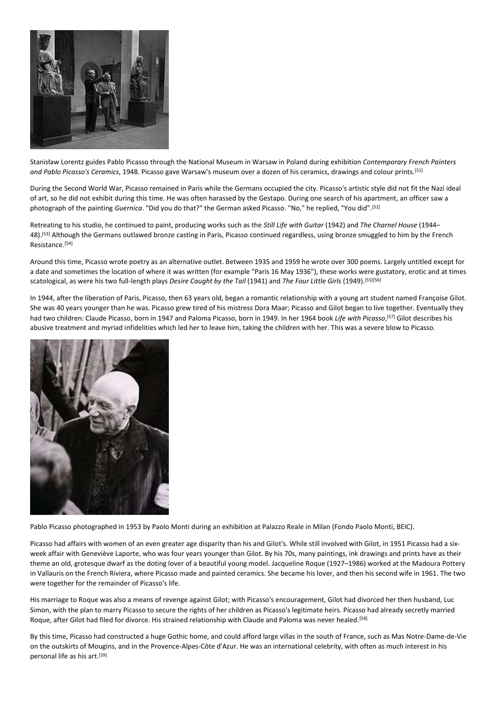

Stanisław Lorentz guides Pablo Picasso through the National Museum in Warsaw in Poland during exhibition *Contemporary French Painters and Pablo Picasso's Ceramics*, 1948. Picasso gave Warsaw's museum over a dozen of his ceramics, drawings and colour prints.[51]

During the Second World War, Picasso remained in Paris while the Germans occupied the city. Picasso's artistic style did not fit the Nazi ideal of art, so he did not exhibit during this time. He was often harassed by the Gestapo. During one search of his apartment, an officer saw a photograph of the painting *Guernica*. "Did you do that?" the German asked Picasso. "No," he replied, "You did".[52]

Retreating to his studio, he continued to paint, producing works such as the *Still Life with Guitar* (1942) and *The Charnel House* (1944– 48).[53] Although the Germans outlawed bronze casting in Paris, Picasso continued regardless, using bronze smuggled to him by the French Resistance. [54]

Around this time, Picasso wrote poetry as an alternative outlet. Between 1935 and 1959 he wrote over 300 poems. Largely untitled except for a date and sometimes the location of where it was written (for example "Paris 16 May 1936"), these works were gustatory, erotic and at times scatological, as were his two full-length plays *Desire Caught by the Tail* (1941) and *The Four Little Girls* (1949).[55][56]

In 1944, after the liberation of Paris, Picasso, then 63 years old, began a romantic relationship with a young art student named Françoise Gilot. She was 40 years younger than he was. Picasso grew tired of his mistress Dora Maar; Picasso and Gilot began to live together. Eventually they had two children: Claude Picasso, born in 1947 and Paloma Picasso, born in 1949. In her 1964 book *Life with Picasso*, [57] Gilot describes his abusive treatment and myriad infidelities which led her to leave him, taking the children with her. This was a severe blow to Picasso.



Pablo Picasso photographed in 1953 by Paolo Monti during an exhibition at Palazzo Reale in Milan (Fondo Paolo Monti, BEIC).

Picasso had affairs with women of an even greater age disparity than his and Gilot's. While still involved with Gilot, in 1951 Picasso had a sixweek affair with Geneviève Laporte, who was four years younger than Gilot. By his 70s, many paintings, ink drawings and prints have as their theme an old, grotesque dwarf as the doting lover of a beautiful young model. Jacqueline Roque (1927–1986) worked at the Madoura Pottery in Vallauris on the French Riviera, where Picasso made and painted ceramics. She became his lover, and then his second wife in 1961. The two were together for the remainder of Picasso's life.

His marriage to Roque was also a means of revenge against Gilot; with Picasso's encouragement, Gilot had divorced her then husband, Luc Simon, with the plan to marry Picasso to secure the rights of her children as Picasso's legitimate heirs. Picasso had already secretly married Roque, after Gilot had filed for divorce. His strained relationship with Claude and Paloma was never healed.<sup>[58]</sup>

By this time, Picasso had constructed a huge Gothic home, and could afford large villas in the south of France, such as Mas Notre-Dame-de-Vie on the outskirts of Mougins, and in the Provence-Alpes-Côte d'Azur. He was an international celebrity, with often as much interest in his personal life as his art.<sup>[59]</sup>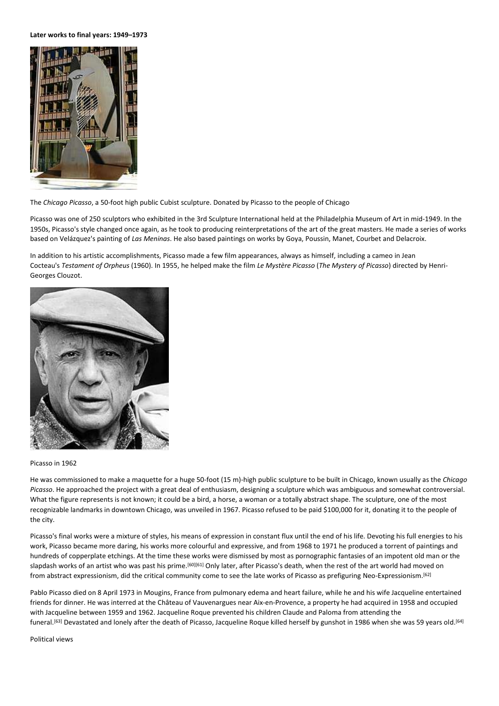**Later works to final years: 1949–1973**



The *Chicago Picasso*, a 50-foot high public Cubist sculpture. Donated by Picasso to the people of Chicago

Picasso was one of 250 sculptors who exhibited in the 3rd Sculpture International held at the Philadelphia Museum of Art in mid-1949. In the 1950s, Picasso's style changed once again, as he took to producing reinterpretations of the art of the great masters. He made a series of works based on Velázquez's painting of *Las Meninas*. He also based paintings on works by Goya, Poussin, Manet, Courbet and Delacroix.

In addition to his artistic accomplishments, Picasso made a few film appearances, always as himself, including a cameo in Jean Cocteau's *Testament of Orpheus* (1960). In 1955, he helped make the film *Le Mystère Picasso* (*The Mystery of Picasso*) directed by Henri-Georges Clouzot.



#### Picasso in 1962

He was commissioned to make a maquette for a huge 50-foot (15 m)-high public sculpture to be built in Chicago, known usually as the *Chicago Picasso*. He approached the project with a great deal of enthusiasm, designing a sculpture which was ambiguous and somewhat controversial. What the figure represents is not known; it could be a bird, a horse, a woman or a totally abstract shape. The sculpture, one of the most recognizable landmarks in downtown Chicago, was unveiled in 1967. Picasso refused to be paid \$100,000 for it, donating it to the people of the city.

Picasso's final works were a mixture of styles, his means of expression in constant flux until the end of his life. Devoting his full energies to his work, Picasso became more daring, his works more colourful and expressive, and from 1968 to 1971 he produced a torrent of paintings and hundreds of copperplate etchings. At the time these works were dismissed by most as pornographic fantasies of an impotent old man or the slapdash works of an artist who was past his prime.<sup>[60][61]</sup> Only later, after Picasso's death, when the rest of the art world had moved on from abstract expressionism, did the critical community come to see the late works of Picasso as prefiguring Neo-Expressionism.<sup>[62]</sup>

Pablo Picasso died on 8 April 1973 in Mougins, France from pulmonary edema and heart failure, while he and his wife Jacqueline entertained friends for dinner. He was interred at the Château of Vauvenargues near Aix-en-Provence, a property he had acquired in 1958 and occupied with Jacqueline between 1959 and 1962. Jacqueline Roque prevented his children Claude and Paloma from attending the funeral.[63] Devastated and lonely after the death of Picasso, Jacqueline Roque killed herself by gunshot in 1986 when she was 59 years old.[64]

Political views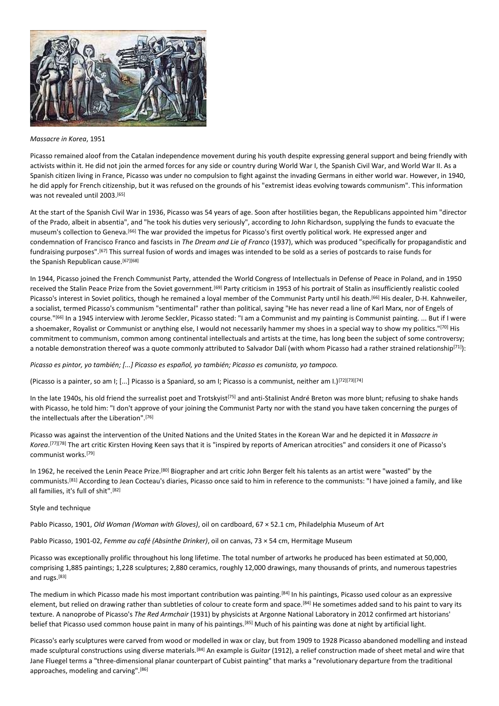

#### *Massacre in Korea*, 1951

Picasso remained aloof from the Catalan independence movement during his youth despite expressing general support and being friendly with activists within it. He did not join the armed forces for any side or country during World War I, the Spanish Civil War, and World War II. As a Spanish citizen living in France, Picasso was under no compulsion to fight against the invading Germans in either world war. However, in 1940, he did apply for French citizenship, but it was refused on the grounds of his "extremist ideas evolving towards communism". This information was not revealed until 2003.[65]

At the start of the Spanish Civil War in 1936, Picasso was 54 years of age. Soon after hostilities began, the Republicans appointed him "director of the Prado, albeit in absentia", and "he took his duties very seriously", according to John Richardson, supplying the funds to evacuate the museum's collection to Geneva.[66] The war provided the impetus for Picasso's first overtly political work. He expressed anger and condemnation of Francisco Franco and fascists in *The Dream and Lie of Franco* (1937), which was produced "specifically for propagandistic and fundraising purposes".[67] This surreal fusion of words and images was intended to be sold as a series of postcards to raise funds for the Spanish Republican cause. [67][68]

In 1944, Picasso joined the French Communist Party, attended the World Congress of Intellectuals in Defense of Peace in Poland, and in 1950 received the Stalin Peace Prize from the Soviet government.<sup>[69]</sup> Party criticism in 1953 of his portrait of Stalin as insufficiently realistic cooled Picasso's interest in Soviet politics, though he remained a loyal member of the Communist Party until his death.<sup>[66]</sup> His dealer, D-H. Kahnweiler, a socialist, termed Picasso's communism "sentimental" rather than political, saying "He has never read a line of Karl Marx, nor of Engels of course."[66] In a 1945 interview with Jerome Seckler, Picasso stated: "I am a Communist and my painting is Communist painting. ... But if I were a shoemaker, Royalist or Communist or anything else, I would not necessarily hammer my shoes in a special way to show my politics."[70] His commitment to communism, common among continental intellectuals and artists at the time, has long been the subject of some controversy; a notable demonstration thereof was a quote commonly attributed to Salvador Dalí (with whom Picasso had a rather strained relationship<sup>[71]</sup>):

*Picasso es pintor, yo también; [...] Picasso es español, yo también; Picasso es comunista, yo tampoco.*

(Picasso is a painter, so am I; [...] Picasso is a Spaniard, so am I; Picasso is a communist, neither am I.)[72][73][74]

In the late 1940s, his old friend the surrealist poet and Trotskyist<sup>[75]</sup> and anti-Stalinist André Breton was more blunt; refusing to shake hands with Picasso, he told him: "I don't approve of your joining the Communist Party nor with the stand you have taken concerning the purges of the intellectuals after the Liberation".[76]

Picasso was against the intervention of the United Nations and the United States in the Korean War and he depicted it in *Massacre in Korea*. [77][78] The art critic Kirsten Hoving Keen says that it is "inspired by reports of American atrocities" and considers it one of Picasso's communist works.[79]

In 1962, he received the Lenin Peace Prize.<sup>[80]</sup> Biographer and art critic John Berger felt his talents as an artist were "wasted" by the communists.[81] According to Jean Cocteau's diaries, Picasso once said to him in reference to the communists: "I have joined a family, and like all families, it's full of shit".[82]

#### Style and technique

Pablo Picasso, 1901, *Old Woman (Woman with Gloves)*, oil on cardboard, 67 × 52.1 cm, Philadelphia Museum of Art

Pablo Picasso, 1901-02, *Femme au café (Absinthe Drinker)*, oil on canvas, 73 × 54 cm, Hermitage Museum

Picasso was exceptionally prolific throughout his long lifetime. The total number of artworks he produced has been estimated at 50,000, comprising 1,885 paintings; 1,228 sculptures; 2,880 ceramics, roughly 12,000 drawings, many thousands of prints, and numerous tapestries and rugs.[83]

The medium in which Picasso made his most important contribution was painting.<sup>[84]</sup> In his paintings, Picasso used colour as an expressive element, but relied on drawing rather than subtleties of colour to create form and space.<sup>[84]</sup> He sometimes added sand to his paint to vary its texture. A nanoprobe of Picasso's *The Red Armchair* (1931) by physicists at Argonne National Laboratory in 2012 confirmed art historians' belief that Picasso used common house paint in many of his paintings.[85] Much of his painting was done at night by artificial light.

Picasso's early sculptures were carved from wood or modelled in wax or clay, but from 1909 to 1928 Picasso abandoned modelling and instead made sculptural constructions using diverse materials.[84] An example is *Guitar* (1912), a relief construction made of sheet metal and wire that Jane Fluegel terms a "three-dimensional planar counterpart of Cubist painting" that marks a "revolutionary departure from the traditional approaches, modeling and carving".[86]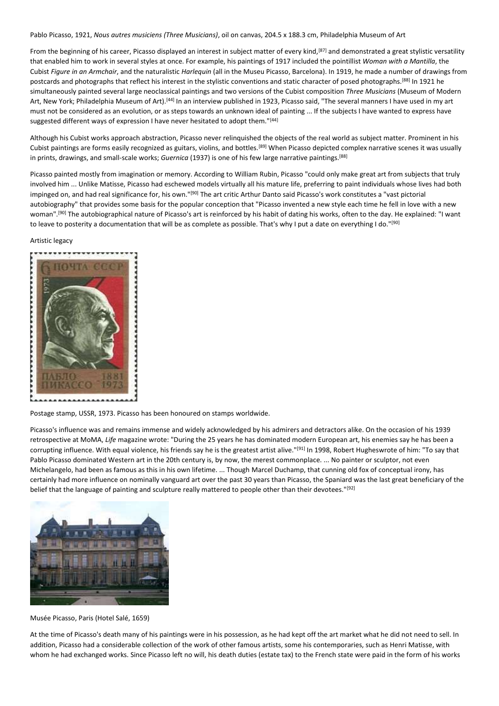Pablo Picasso, 1921, *Nous autres musiciens (Three Musicians)*, oil on canvas, 204.5 x 188.3 cm, Philadelphia Museum of Art

From the beginning of his career, Picasso displayed an interest in subject matter of every kind,<sup>[87]</sup> and demonstrated a great stylistic versatility that enabled him to work in several styles at once. For example, his paintings of 1917 included the pointillist *Woman with a Mantilla*, the Cubist *Figure in an Armchair*, and the naturalistic *Harlequin* (all in the Museu Picasso, Barcelona). In 1919, he made a number of drawings from postcards and photographs that reflect his interest in the stylistic conventions and static character of posed photographs.[88] In 1921 he simultaneously painted several large neoclassical paintings and two versions of the Cubist composition *Three Musicians* (Museum of Modern Art, New York; Philadelphia Museum of Art).[44] In an interview published in 1923, Picasso said, "The several manners I have used in my art must not be considered as an evolution, or as steps towards an unknown ideal of painting ... If the subjects I have wanted to express have suggested different ways of expression I have never hesitated to adopt them."[44]

Although his Cubist works approach abstraction, Picasso never relinquished the objects of the real world as subject matter. Prominent in his Cubist paintings are forms easily recognized as guitars, violins, and bottles.[89] When Picasso depicted complex narrative scenes it was usually in prints, drawings, and small-scale works; *Guernica* (1937) is one of his few large narrative paintings.[88]

Picasso painted mostly from imagination or memory. According to William Rubin, Picasso "could only make great art from subjects that truly involved him ... Unlike Matisse, Picasso had eschewed models virtually all his mature life, preferring to paint individuals whose lives had both impinged on, and had real significance for, his own."[90] The art critic Arthur Danto said Picasso's work constitutes a "vast pictorial autobiography" that provides some basis for the popular conception that "Picasso invented a new style each time he fell in love with a new woman".[90] The autobiographical nature of Picasso's art is reinforced by his habit of dating his works, often to the day. He explained: "I want to leave to posterity a documentation that will be as complete as possible. That's why I put a date on everything I do."[90]

#### Artistic legacy



Postage stamp, USSR, 1973. Picasso has been honoured on stamps worldwide.

Picasso's influence was and remains immense and widely acknowledged by his admirers and detractors alike. On the occasion of his 1939 retrospective at MoMA, *Life* magazine wrote: "During the 25 years he has dominated modern European art, his enemies say he has been a corrupting influence. With equal violence, his friends say he is the greatest artist alive."[91] In 1998, Robert Hugheswrote of him: "To say that Pablo Picasso dominated Western art in the 20th century is, by now, the merest commonplace. ... No painter or sculptor, not even Michelangelo, had been as famous as this in his own lifetime. ... Though Marcel Duchamp, that cunning old fox of conceptual irony, has certainly had more influence on nominally vanguard art over the past 30 years than Picasso, the Spaniard was the last great beneficiary of the belief that the language of painting and sculpture really mattered to people other than their devotees."[92]



Musée Picasso, Paris (Hotel Salé, 1659)

At the time of Picasso's death many of his paintings were in his possession, as he had kept off the art market what he did not need to sell. In addition, Picasso had a considerable collection of the work of other famous artists, some his contemporaries, such as Henri Matisse, with whom he had exchanged works. Since Picasso left no will, his death duties (estate tax) to the French state were paid in the form of his works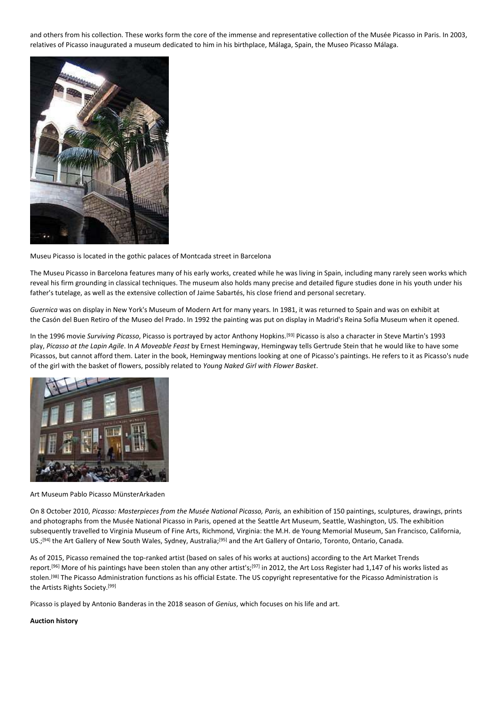and others from his collection. These works form the core of the immense and representative collection of the Musée Picasso in Paris. In 2003, relatives of Picasso inaugurated a museum dedicated to him in his birthplace, Málaga, Spain, the Museo Picasso Málaga.



Museu Picasso is located in the gothic palaces of Montcada street in Barcelona

The Museu Picasso in Barcelona features many of his early works, created while he was living in Spain, including many rarely seen works which reveal his firm grounding in classical techniques. The museum also holds many precise and detailed figure studies done in his youth under his father's tutelage, as well as the extensive collection of Jaime Sabartés, his close friend and personal secretary.

*Guernica* was on display in New York's Museum of Modern Art for many years. In 1981, it was returned to Spain and was on exhibit at the Casón del Buen Retiro of the Museo del Prado. In 1992 the painting was put on display in Madrid's Reina Sofía Museum when it opened.

In the 1996 movie Surviving Picasso, Picasso is portrayed by actor Anthony Hopkins.<sup>[93]</sup> Picasso is also a character in Steve Martin's 1993 play, *Picasso at the Lapin Agile*. In *A Moveable Feast* by Ernest Hemingway, Hemingway tells Gertrude Stein that he would like to have some Picassos, but cannot afford them. Later in the book, Hemingway mentions looking at one of Picasso's paintings. He refers to it as Picasso's nude of the girl with the basket of flowers, possibly related to *Young Naked Girl with Flower Basket*.



Art Museum Pablo Picasso MünsterArkaden

On 8 October 2010, *Picasso: Masterpieces from the Musée National Picasso, Paris,* an exhibition of 150 paintings, sculptures, drawings, prints and photographs from the Musée National Picasso in Paris, opened at the Seattle Art Museum, Seattle, Washington, US. The exhibition subsequently travelled to Virginia Museum of Fine Arts, Richmond, Virginia: the M.H. de Young Memorial Museum, San Francisco, California, US.;[94] the Art Gallery of New South Wales, Sydney, Australia;[95] and the Art Gallery of Ontario, Toronto, Ontario, Canada.

As of 2015, Picasso remained the top-ranked artist (based on sales of his works at auctions) according to the Art Market Trends report.<sup>[96]</sup> More of his paintings have been stolen than any other artist's;<sup>[97]</sup> in 2012, the Art Loss Register had 1,147 of his works listed as stolen.[98] The Picasso Administration functions as his official Estate. The US copyright representative for the Picasso Administration is the Artists Rights Society. [99]

Picasso is played by Antonio Banderas in the 2018 season of *Genius*, which focuses on his life and art.

# **Auction history**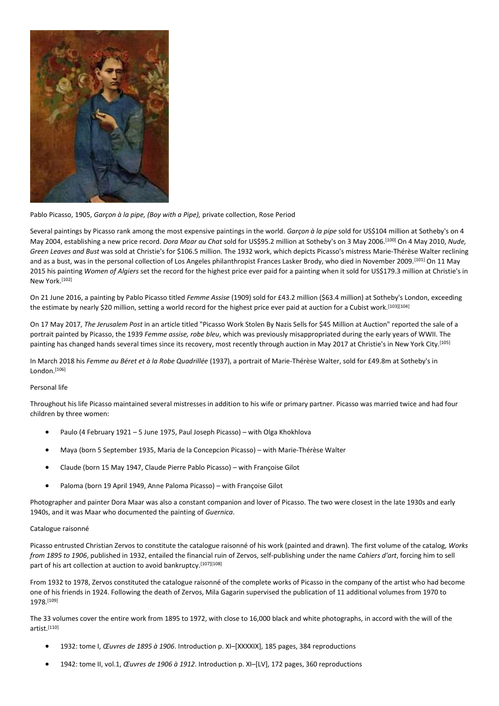

# Pablo Picasso, 1905, *Garçon à la pipe, (Boy with a Pipe),* private collection, Rose Period

Several paintings by Picasso rank among the most expensive paintings in the world. *Garçon à la pipe* sold for US\$104 million at Sotheby's on 4 May 2004, establishing a new price record. *Dora Maar au Chat* sold for US\$95.2 million at Sotheby's on 3 May 2006.[100] On 4 May 2010, *Nude, Green Leaves and Bust* was sold at Christie's for \$106.5 million. The 1932 work, which depicts Picasso's mistress Marie-Thérèse Walter reclining and as a bust, was in the personal collection of Los Angeles philanthropist Frances Lasker Brody, who died in November 2009.[101] On 11 May 2015 his painting *Women of Algiers* set the record for the highest price ever paid for a painting when it sold for US\$179.3 million at Christie's in New York.[102]

On 21 June 2016, a painting by Pablo Picasso titled *Femme Assise* (1909) sold for £43.2 million (\$63.4 million) at Sotheby's London, exceeding the estimate by nearly \$20 million, setting a world record for the highest price ever paid at auction for a Cubist work.<sup>[103][104]</sup>

On 17 May 2017, *The Jerusalem Post* in an article titled "Picasso Work Stolen By Nazis Sells for \$45 Million at Auction" reported the sale of a portrait painted by Picasso, the 1939 *Femme assise, robe bleu*, which was previously misappropriated during the early years of WWII. The painting has changed hands several times since its recovery, most recently through auction in May 2017 at Christie's in New York City.<sup>[105]</sup>

In March 2018 his *Femme au Béret et à la Robe Quadrillée* (1937), a portrait of Marie-Thérèse Walter, sold for £49.8m at Sotheby's in London.[106]

# Personal life

Throughout his life Picasso maintained several mistresses in addition to his wife or primary partner. Picasso was married twice and had four children by three women:

- Paulo (4 February 1921 5 June 1975, Paul Joseph Picasso) with Olga Khokhlova
- Maya (born 5 September 1935, Maria de la Concepcion Picasso) with Marie-Thérèse Walter
- Claude (born 15 May 1947, Claude Pierre Pablo Picasso) with Françoise Gilot
- Paloma (born 19 April 1949, Anne Paloma Picasso) with Françoise Gilot

Photographer and painter Dora Maar was also a constant companion and lover of Picasso. The two were closest in the late 1930s and early 1940s, and it was Maar who documented the painting of *Guernica*.

# Catalogue raisonné

Picasso entrusted Christian Zervos to constitute the catalogue raisonné of his work (painted and drawn). The first volume of the catalog, *Works from 1895 to 1906*, published in 1932, entailed the financial ruin of Zervos, self-publishing under the name *Cahiers d'art*, forcing him to sell part of his art collection at auction to avoid bankruptcy. [107][108]

From 1932 to 1978, Zervos constituted the catalogue raisonné of the complete works of Picasso in the company of the artist who had become one of his friends in 1924. Following the death of Zervos, Mila Gagarin supervised the publication of 11 additional volumes from 1970 to 1978.[109]

The 33 volumes cover the entire work from 1895 to 1972, with close to 16,000 black and white photographs, in accord with the will of the artist.[110]

- 1932: tome I, *Œuvres de 1895 à 1906*. Introduction p. XI–[XXXXIX], 185 pages, 384 reproductions
- 1942: tome II, vol.1, *Œuvres de 1906 à 1912*. Introduction p. XI–[LV], 172 pages, 360 reproductions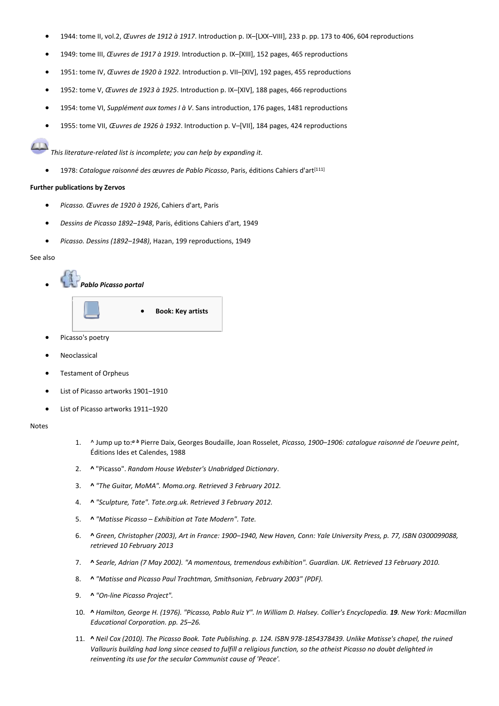- 1944: tome II, vol.2, *Œuvres de 1912 à 1917*. Introduction p. IX–[LXX–VIII], 233 p. pp. 173 to 406, 604 reproductions
- 1949: tome III, *Œuvres de 1917 à 1919*. Introduction p. IX–[XIII], 152 pages, 465 reproductions
- 1951: tome IV, *Œuvres de 1920 à 1922*. Introduction p. VII–[XIV], 192 pages, 455 reproductions
- 1952: tome V, *Œuvres de 1923 à 1925*. Introduction p. IX–[XIV], 188 pages, 466 reproductions
- 1954: tome VI, *Supplément aux tomes I à V*. Sans introduction, 176 pages, 1481 reproductions
- 1955: tome VII, *Œuvres de 1926 à 1932*. Introduction p. V–[VII], 184 pages, 424 reproductions

*This literature-related list is incomplete; you can help by expanding it*.

1978: Cataloque raisonné des œuvres de Pablo Picasso, Paris, éditions Cahiers d'art<sup>[111]</sup>

# **Further publications by Zervos**

- *Picasso. Œuvres de 1920 à 1926*, Cahiers d'art, Paris
- *Dessins de Picasso 1892–1948*, Paris, éditions Cahiers d'art, 1949
- *Picasso. Dessins (1892–1948)*, Hazan, 199 reproductions, 1949

#### See also



- Picasso's poetry
- **Neoclassical**
- Testament of Orpheus
- List of Picasso artworks 1901–1910
- List of Picasso artworks 1911–1920

#### Notes

- 1. ^ Jump up to:*<sup>a</sup> <sup>b</sup>* Pierre Daix, Georges Boudaille, Joan Rosselet, *Picasso, 1900–1906: catalogue raisonné de l'oeuvre peint*, Éditions Ides et Calendes, 1988
- 2. **^** "Picasso". *Random House Webster's Unabridged Dictionary*.
- 3. **^** *"The Guitar, MoMA". Moma.org. Retrieved 3 February 2012.*
- 4. **^** *"Sculpture, Tate". Tate.org.uk. Retrieved 3 February 2012.*
- 5. **^** *"Matisse Picasso – Exhibition at Tate Modern". Tate.*
- 6. **^** *Green, Christopher (2003), Art in France: 1900–1940, New Haven, Conn: Yale University Press, p. 77, ISBN 0300099088, retrieved 10 February 2013*
- 7. **^** *Searle, Adrian (7 May 2002). "A momentous, tremendous exhibition". Guardian. UK. Retrieved 13 February 2010.*
- 8. **^** *"Matisse and Picasso Paul Trachtman, Smithsonian, February 2003" (PDF).*
- 9. **^** *"On-line Picasso Project".*
- 10. **^** *Hamilton, George H. (1976). "Picasso, Pablo Ruiz Y". In William D. Halsey. Collier's Encyclopedia. 19. New York: Macmillan Educational Corporation. pp. 25–26.*
- 11. **^** *Neil Cox (2010). The Picasso Book. Tate Publishing. p. 124. ISBN 978-1854378439. Unlike Matisse's chapel, the ruined Vallauris building had long since ceased to fulfill a religious function, so the atheist Picasso no doubt delighted in reinventing its use for the secular Communist cause of 'Peace'.*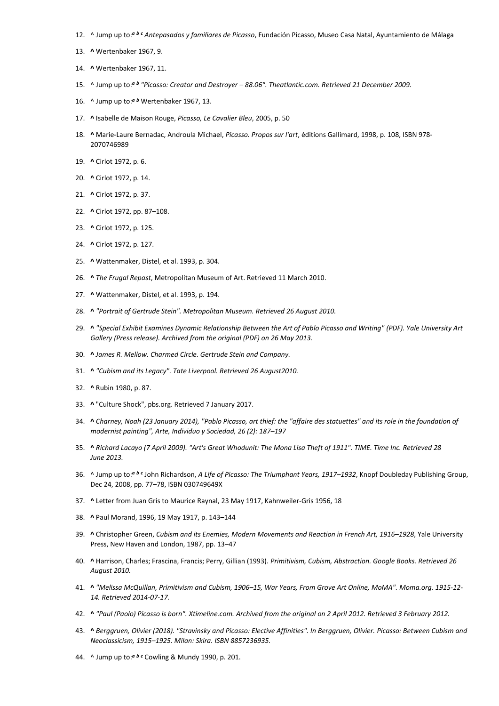- 12. ^ Jump up to:*<sup>a</sup> <sup>b</sup> <sup>c</sup> Antepasados y familiares de Picasso*, Fundación Picasso, Museo Casa Natal, Ayuntamiento de Málaga
- 13. **^** Wertenbaker 1967, 9.
- 14. **^** Wertenbaker 1967, 11.
- 15. ^ Jump up to:*<sup>a</sup> <sup>b</sup> "Picasso: Creator and Destroyer – 88.06". Theatlantic.com. Retrieved 21 December 2009.*
- 16. ^ Jump up to:*<sup>a</sup> <sup>b</sup>* Wertenbaker 1967, 13.
- 17. **^** Isabelle de Maison Rouge, *Picasso, Le Cavalier Bleu*, 2005, p. 50
- 18. **^** Marie-Laure Bernadac, Androula Michael, *Picasso. Propos sur l'art*, éditions Gallimard, 1998, p. 108, ISBN 978- 2070746989
- 19. **^** Cirlot 1972, p. 6.
- 20. **^** Cirlot 1972, p. 14.
- 21. **^** Cirlot 1972, p. 37.
- 22. **^** Cirlot 1972, pp. 87–108.
- 23. **^** Cirlot 1972, p. 125.
- 24. **^** Cirlot 1972, p. 127.
- 25. **^** Wattenmaker, Distel, et al. 1993, p. 304.
- 26. **^** *The Frugal Repast*, Metropolitan Museum of Art. Retrieved 11 March 2010.
- 27. **^** Wattenmaker, Distel, et al. 1993, p. 194.
- 28. **^** *"Portrait of Gertrude Stein". Metropolitan Museum. Retrieved 26 August 2010.*
- 29. **^** *"Special Exhibit Examines Dynamic Relationship Between the Art of Pablo Picasso and Writing" (PDF). Yale University Art Gallery (Press release). Archived from the original (PDF) on 26 May 2013.*
- 30. **^** *James R. Mellow. Charmed Circle. Gertrude Stein and Company.*
- 31. **^** *"Cubism and its Legacy". Tate Liverpool. Retrieved 26 August2010.*
- 32. **^** Rubin 1980, p. 87.
- 33. **^** "Culture Shock", pbs.org. Retrieved 7 January 2017.
- 34. **^** *Charney, Noah (23 January 2014), "Pablo Picasso, art thief: the "affaire des statuettes" and its role in the foundation of modernist painting", Arte, Individuo y Sociedad, 26 (2): 187–197*
- 35. **^** *Richard Lacayo (7 April 2009). "Art's Great Whodunit: The Mona Lisa Theft of 1911". TIME. Time Inc. Retrieved 28 June 2013.*
- 36. ^ Jump up to:*<sup>a</sup> <sup>b</sup> <sup>c</sup>* John Richardson, *A Life of Picasso: The Triumphant Years, 1917–1932*, Knopf Doubleday Publishing Group, Dec 24, 2008, pp. 77–78, ISBN 030749649X
- 37. **^** Letter from Juan Gris to Maurice Raynal, 23 May 1917, Kahnweiler-Gris 1956, 18
- 38. **^** Paul Morand, 1996, 19 May 1917, p. 143–144
- 39. **^** Christopher Green, *Cubism and its Enemies, Modern Movements and Reaction in French Art, 1916–1928*, Yale University Press, New Haven and London, 1987, pp. 13–47
- 40. **^** Harrison, Charles; Frascina, Francis; Perry, Gillian (1993). *Primitivism, Cubism, Abstraction. Google Books. Retrieved 26 August 2010.*
- 41. **^** *"Melissa McQuillan, Primitivism and Cubism, 1906–15, War Years, From Grove Art Online, MoMA". Moma.org. 1915-12- 14. Retrieved 2014-07-17.*
- 42. **^** *"Paul (Paolo) Picasso is born". Xtimeline.com. Archived from the original on 2 April 2012. Retrieved 3 February 2012.*
- 43. **^** *Berggruen, Olivier (2018). "Stravinsky and Picasso: Elective Affinities". In Berggruen, Olivier. Picasso: Between Cubism and Neoclassicism, 1915–1925. Milan: Skira. ISBN 8857236935.*
- 44. ^ Jump up to:*<sup>a</sup> <sup>b</sup> <sup>c</sup>* Cowling & Mundy 1990, p. 201.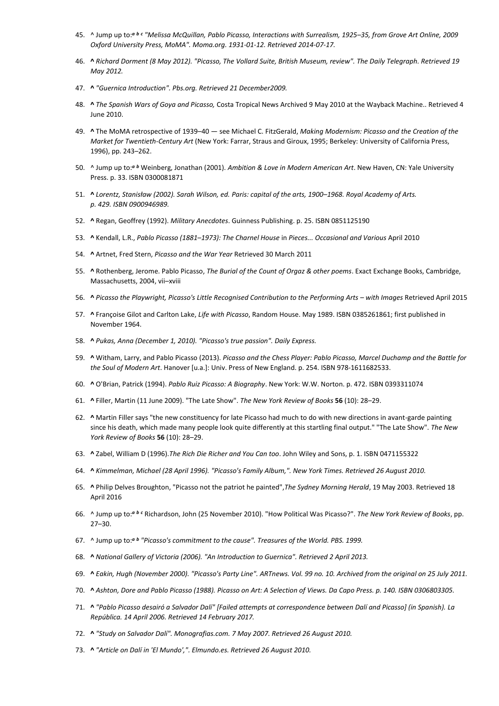- 45. ^ Jump up to:*<sup>a</sup> <sup>b</sup> <sup>c</sup> "Melissa McQuillan, Pablo Picasso, Interactions with Surrealism, 1925–35, from Grove Art Online, 2009 Oxford University Press, MoMA". Moma.org. 1931-01-12. Retrieved 2014-07-17.*
- 46. **^** *Richard Dorment (8 May 2012). "Picasso, The Vollard Suite, British Museum, review". The Daily Telegraph. Retrieved 19 May 2012.*
- 47. **^** *"Guernica Introduction". Pbs.org. Retrieved 21 December2009.*
- 48. **^** *The Spanish Wars of Goya and Picasso,* Costa Tropical News Archived 9 May 2010 at the Wayback Machine.. Retrieved 4 June 2010.
- 49. **^** The MoMA retrospective of 1939–40 see Michael C. FitzGerald, *Making Modernism: Picasso and the Creation of the Market for Twentieth-Century Art* (New York: Farrar, Straus and Giroux, 1995; Berkeley: University of California Press, 1996), pp. 243–262.
- 50. ^ Jump up to:*<sup>a</sup> <sup>b</sup>* Weinberg, Jonathan (2001). *Ambition & Love in Modern American Art*. New Haven, CN: Yale University Press. p. 33. ISBN 0300081871
- 51. **^** *Lorentz, Stanisław (2002). Sarah Wilson, ed. Paris: capital of the arts, 1900–1968. Royal Academy of Arts. p. 429. ISBN 0900946989.*
- 52. **^** Regan, Geoffrey (1992). *Military Anecdotes*. Guinness Publishing. p. 25. ISBN 0851125190
- 53. **^** Kendall, L.R., *Pablo Picasso (1881–1973): The Charnel House* in *Pieces... Occasional and Various* April 2010
- 54. **^** Artnet, Fred Stern, *Picasso and the War Year* Retrieved 30 March 2011
- 55. **^** Rothenberg, Jerome. Pablo Picasso, *The Burial of the Count of Orgaz & other poems*. Exact Exchange Books, Cambridge, Massachusetts, 2004, vii–xviii
- 56. **^** *Picasso the Playwright, Picasso's Little Recognised Contribution to the Performing Arts – with Images* Retrieved April 2015
- 57. **^** Françoise Gilot and Carlton Lake, *Life with Picasso*, Random House. May 1989. ISBN 0385261861; first published in November 1964.
- 58. **^** *Pukas, Anna (December 1, 2010). "Picasso's true passion". Daily Express.*
- 59. **^** Witham, Larry, and Pablo Picasso (2013). *Picasso and the Chess Player: Pablo Picasso, Marcel Duchamp and the Battle for the Soul of Modern Art*. Hanover [u.a.]: Univ. Press of New England. p. 254. ISBN 978-1611682533.
- 60. **^** O'Brian, Patrick (1994). *Pablo Ruiz Picasso: A Biography*. New York: W.W. Norton. p. 472. ISBN 0393311074
- 61. **^** Filler, Martin (11 June 2009). "The Late Show". *The New York Review of Books* **56** (10): 28–29.
- 62. **^** Martin Filler says "the new constituency for late Picasso had much to do with new directions in avant-garde painting since his death, which made many people look quite differently at this startling final output." "The Late Show". *The New York Review of Books* **56** (10): 28–29.
- 63. **^** Zabel, William D (1996).*The Rich Die Richer and You Can too*. John Wiley and Sons, p. 1. ISBN 0471155322
- 64. **^** *Kimmelman, Michael (28 April 1996). "Picasso's Family Album,". New York Times. Retrieved 26 August 2010.*
- 65. **^** Philip Delves Broughton, "Picasso not the patriot he painted",*The Sydney Morning Herald*, 19 May 2003. Retrieved 18 April 2016
- 66. ^ Jump up to:*<sup>a</sup> <sup>b</sup> <sup>c</sup>* Richardson, John (25 November 2010). "How Political Was Picasso?". *The New York Review of Books*, pp. 27–30.
- 67. ^ Jump up to:*<sup>a</sup> <sup>b</sup> "Picasso's commitment to the cause". Treasures of the World. PBS. 1999.*
- 68. **^** *National Gallery of Victoria (2006). "An Introduction to Guernica". Retrieved 2 April 2013.*
- 69. **^** *Eakin, Hugh (November 2000). "Picasso's Party Line". ARTnews. Vol. 99 no. 10. Archived from the original on 25 July 2011.*
- 70. **^** *Ashton, Dore and Pablo Picasso (1988). Picasso on Art: A Selection of Views. Da Capo Press. p. 140. ISBN 0306803305.*
- 71. **^** *"Pablo Picasso desairó a Salvador Dalí" [Failed attempts at correspondence between Dalí and Picasso] (in Spanish). La República. 14 April 2006. Retrieved 14 February 2017.*
- 72. **^** *"Study on Salvador Dalí". Monografias.com. 7 May 2007. Retrieved 26 August 2010.*
- 73. **^** *"Article on Dalí in 'El Mundo',". Elmundo.es. Retrieved 26 August 2010.*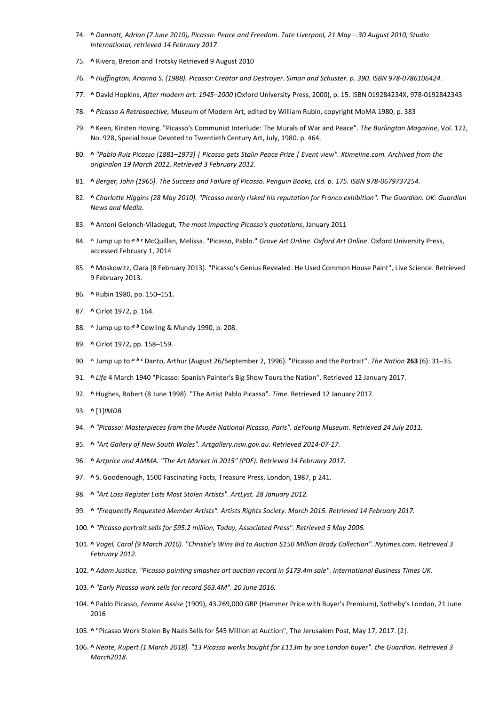- 74. **^** *Dannatt, Adrian (7 June 2010), Picasso: Peace and Freedom. Tate Liverpool, 21 May – 30 August 2010, Studio International, retrieved 14 February 2017*
- 75. **^** Rivera, Breton and Trotsky Retrieved 9 August 2010
- 76. **^** *Huffington, Arianna S. (1988). Picasso: Creator and Destroyer. Simon and Schuster. p. 390. ISBN 978-0786106424.*
- 77. **^** David Hopkins, *After modern art: 1945–2000* (Oxford University Press, 2000), p. 15. ISBN 019284234X, 978-0192842343
- 78. **^** *Picasso A Retrospective,* Museum of Modern Art, edited by William Rubin, copyright MoMA 1980, p. 383
- 79. **^** Keen, Kirsten Hoving. "Picasso's Communist Interlude: The Murals of War and Peace". *The Burlington Magazine*, Vol. 122, No. 928, Special Issue Devoted to Twentieth Century Art, July, 1980. p. 464.
- 80. **^** *"Pablo Ruiz Picasso (1881–1973) | Picasso gets Stalin Peace Prize | Event view". Xtimeline.com. Archived from the originalon 19 March 2012. Retrieved 3 February 2012.*
- 81. **^** *Berger, John (1965). The Success and Failure of Picasso. Penguin Books, Ltd. p. 175. ISBN 978-0679737254.*
- 82. **^** *Charlotte Higgins (28 May 2010). "Picasso nearly risked his reputation for Franco exhibition". The Guardian. UK: Guardian News and Media.*
- 83. **^** Antoni Gelonch-Viladegut, *The most impacting Picasso's quotations*, January 2011
- 84. ^ Jump up to:*<sup>a</sup> <sup>b</sup> <sup>c</sup>* McQuillan, Melissa. "Picasso, Pablo." *Grove Art Online*. *Oxford Art Online*. Oxford University Press, accessed February 1, 2014
- 85. **^** Moskowitz, Clara (8 February 2013). "Picasso's Genius Revealed: He Used Common House Paint", Live Science. Retrieved 9 February 2013.
- 86. **^** Rubin 1980, pp. 150–151.
- 87. **^** Cirlot 1972, p. 164.
- 88. ^ Jump up to:*<sup>a</sup> <sup>b</sup>* Cowling & Mundy 1990, p. 208.
- 89. **^** Cirlot 1972, pp. 158–159.
- 90. ^ Jump up to:*<sup>a</sup> <sup>b</sup> <sup>c</sup>* Danto, Arthur (August 26/September 2, 1996). "Picasso and the Portrait". *The Nation* **263** (6): 31–35.
- 91. **^** *Life* 4 March 1940 "Picasso: Spanish Painter's Big Show Tours the Nation". Retrieved 12 January 2017.
- 92. **^** Hughes, Robert (8 June 1998). "The Artist Pablo Picasso". *Time*. Retrieved 12 January 2017.
- 93. **^** [1]*IMDB*
- 94. **^** *"Picasso: Masterpieces from the Musée National Picasso, Paris". deYoung Museum. Retrieved 24 July 2011.*
- 95. **^** *"Art Gallery of New South Wales". Artgallery.nsw.gov.au. Retrieved 2014-07-17.*
- 96. **^** *Artprice and AMMA. "The Art Market in 2015" (PDF). Retrieved 14 February 2017.*
- 97. **^** S. Goodenough, 1500 Fascinating Facts, Treasure Press, London, 1987, p 241.
- 98. **^** *"Art Loss Register Lists Most Stolen Artists". ArtLyst. 28 January 2012.*
- 99. **^** *"Frequently Requested Member Artists". Artists Rights Society. March 2015. Retrieved 14 February 2017.*
- 100. **^** *"Picasso portrait sells for \$95.2 million, Today, Associated Press". Retrieved 5 May 2006.*
- 101. **^** *Vogel, Carol (9 March 2010). "Christie's Wins Bid to Auction \$150 Million Brody Collection". Nytimes.com. Retrieved 3 February 2012.*
- 102. **^** *Adam Justice. "Picasso painting smashes art auction record in \$179.4m sale". International Business Times UK.*
- 103. **^** *"Early Picasso work sells for record \$63.4M". 20 June 2016.*
- 104. **^** Pablo Picasso, *Femme Assise* (1909), 43.269,000 GBP (Hammer Price with Buyer's Premium), Sotheby's London, 21 June 2016
- 105. **^** "Picasso Work Stolen By Nazis Sells for \$45 Million at Auction", The Jerusalem Post, May 17, 2017. [2].
- 106. **^** *Neate, Rupert (1 March 2018). "13 Picasso works bought for £113m by one London buyer". the Guardian. Retrieved 3 March2018.*